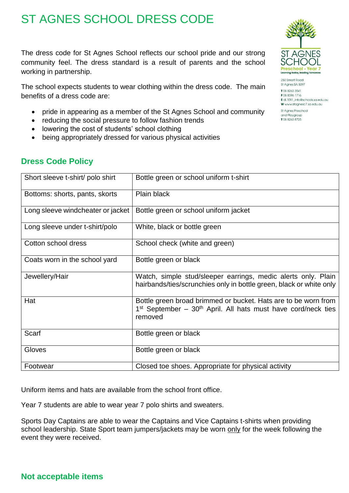## ST AGNES SCHOOL DRESS CODE

The dress code for St Agnes School reflects our school pride and our strong community feel. The dress standard is a result of parents and the school working in partnership.

The school expects students to wear clothing within the dress code. The main benefits of a dress code are:

- pride in appearing as a member of the St Agnes School and community
- reducing the social pressure to follow fashion trends
- lowering the cost of students' school clothing
- being appropriately dressed for various physical activities

## **Dress Code Policy**

| Short sleeve t-shirt/ polo shirt  | Bottle green or school uniform t-shirt                                                                                                         |
|-----------------------------------|------------------------------------------------------------------------------------------------------------------------------------------------|
| Bottoms: shorts, pants, skorts    | Plain black                                                                                                                                    |
| Long sleeve windcheater or jacket | Bottle green or school uniform jacket                                                                                                          |
| Long sleeve under t-shirt/polo    | White, black or bottle green                                                                                                                   |
| Cotton school dress               | School check (white and green)                                                                                                                 |
| Coats worn in the school yard     | Bottle green or black                                                                                                                          |
| Jewellery/Hair                    | Watch, simple stud/sleeper earrings, medic alerts only. Plain<br>hairbands/ties/scrunchies only in bottle green, black or white only           |
| Hat                               | Bottle green broad brimmed or bucket. Hats are to be worn from<br>$1st$ September – $30th$ April. All hats must have cord/neck ties<br>removed |
| Scarf                             | Bottle green or black                                                                                                                          |
| Gloves                            | Bottle green or black                                                                                                                          |
| Footwear                          | Closed toe shoes. Appropriate for physical activity                                                                                            |

Uniform items and hats are available from the school front office.

Year 7 students are able to wear year 7 polo shirts and sweaters.

Sports Day Captains are able to wear the Captains and Vice Captains t-shirts when providing school leadership. State Sport team jumpers/jackets may be worn only for the week following the event they were received.



250 Smart Road St Agnes SA 5097 T 08 8263 3541 F08 8396 1716 E dl.1091\_info@schools.sa.edu.au W www.staanesc7.sa.edu.au St Agnes Preschool and Playgroup T08 8263 8725

## **Not acceptable items**